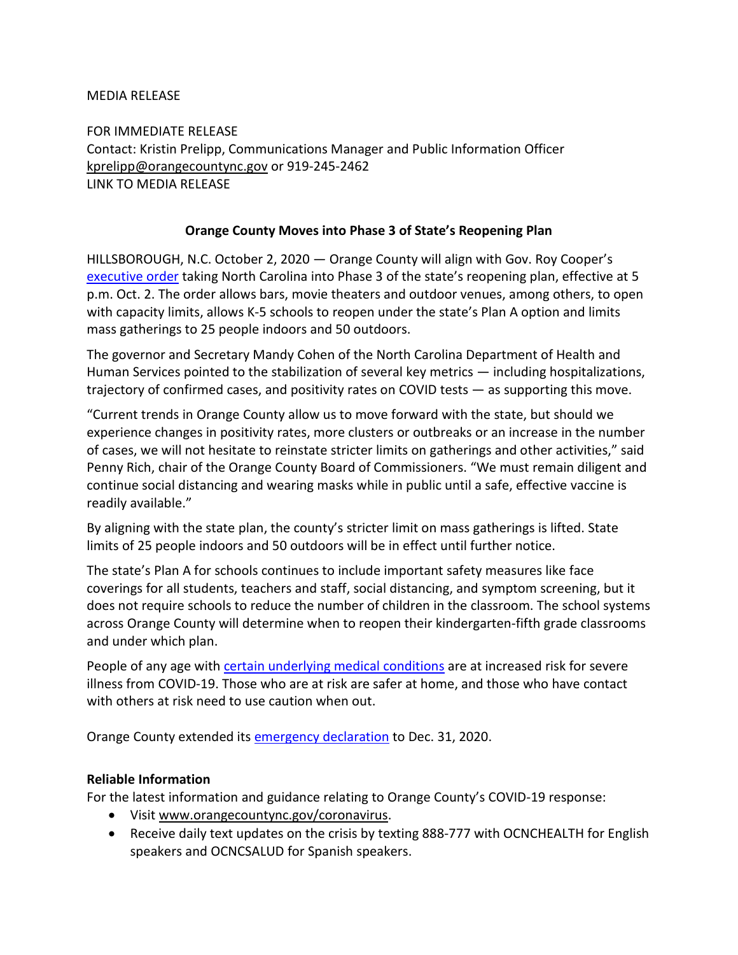MEDIA RELEASE

FOR IMMEDIATE RELEASE Contact: Kristin Prelipp, Communications Manager and Public Information Officer [kprelipp@orangecountync.gov](mailto:kprelipp@orangecountync.gov) or 919-245-2462 LINK TO MEDIA RELEASE

## **Orange County Moves into Phase 3 of State's Reopening Plan**

HILLSBOROUGH, N.C. October 2, 2020 ― Orange County will align with Gov. Roy Cooper's [executive order](https://files.nc.gov/governor/documents/files/EO169-Phase-3.pdf) taking North Carolina into Phase 3 of the state's reopening plan, effective at 5 p.m. Oct. 2. The order allows bars, movie theaters and outdoor venues, among others, to open with capacity limits, allows K-5 schools to reopen under the state's Plan A option and limits mass gatherings to 25 people indoors and 50 outdoors.

The governor and Secretary Mandy Cohen of the North Carolina Department of Health and Human Services pointed to the stabilization of several key metrics — including hospitalizations, trajectory of confirmed cases, and positivity rates on COVID tests ― as supporting this move.

"Current trends in Orange County allow us to move forward with the state, but should we experience changes in positivity rates, more clusters or outbreaks or an increase in the number of cases, we will not hesitate to reinstate stricter limits on gatherings and other activities," said Penny Rich, chair of the Orange County Board of Commissioners. "We must remain diligent and continue social distancing and wearing masks while in public until a safe, effective vaccine is readily available."

By aligning with the state plan, the county's stricter limit on mass gatherings is lifted. State limits of 25 people indoors and 50 outdoors will be in effect until further notice.

The state's Plan A for schools continues to include important safety measures like face coverings for all students, teachers and staff, social distancing, and symptom screening, but it does not require schools to reduce the number of children in the classroom. The school systems across Orange County will determine when to reopen their kindergarten-fifth grade classrooms and under which plan.

People of any age with certain [underlying medical conditions](https://www.cdc.gov/coronavirus/2019-ncov/need-extra-precautions/people-with-medical-conditions.html) are at increased risk for severe illness from COVID-19. Those who are at risk are safer at home, and those who have contact with others at risk need to use caution when out.

Orange County extended its [emergency declaration](https://www.orangecountync.gov/DocumentCenter/View/13075/Orange-County-Declaration-10-2-20-Amendment) to Dec. 31, 2020.

## **Reliable Information**

For the latest information and guidance relating to Orange County's COVID-19 response:

- Visi[t www.orangecountync.gov/coronavirus.](http://www.orangecountync.gov/coronavirus)
- Receive daily text updates on the crisis by texting 888-777 with OCNCHEALTH for English speakers and OCNCSALUD for Spanish speakers.